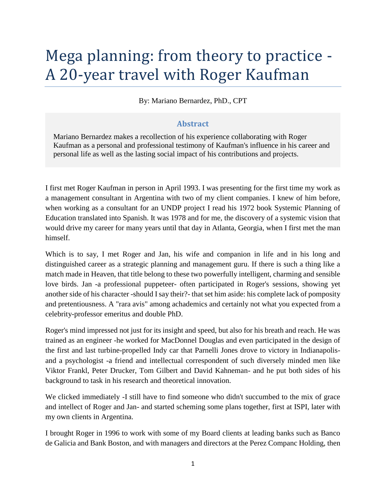# Mega planning: from theory to practice - A 20-year travel with Roger Kaufman

By: Mariano Bernardez, PhD., CPT

### **Abstract**

Mariano Bernardez makes a recollection of his experience collaborating with Roger Kaufman as a personal and professional testimony of Kaufman's influence in his career and personal life as well as the lasting social impact of his contributions and projects.

I first met Roger Kaufman in person in April 1993. I was presenting for the first time my work as a management consultant in Argentina with two of my client companies. I knew of him before, when working as a consultant for an UNDP project I read his 1972 book Systemic Planning of Education translated into Spanish. It was 1978 and for me, the discovery of a systemic vision that would drive my career for many years until that day in Atlanta, Georgia, when I first met the man himself.

Which is to say, I met Roger and Jan, his wife and companion in life and in his long and distinguished career as a strategic planning and management guru. If there is such a thing like a match made in Heaven, that title belong to these two powerfully intelligent, charming and sensible love birds. Jan -a professional puppeteer- often participated in Roger's sessions, showing yet another side of his character -should I say their?- that set him aside: his complete lack of pomposity and pretentiousness. A "rara avis" among achademics and certainly not what you expected from a celebrity-professor emeritus and double PhD.

Roger's mind impressed not just for its insight and speed, but also for his breath and reach. He was trained as an engineer -he worked for MacDonnel Douglas and even participated in the design of the first and last turbine-propelled Indy car that Parnelli Jones drove to victory in Indianapolisand a psychologist -a friend and intellectual correspondent of such diversely minded men like Viktor Frankl, Peter Drucker, Tom Gilbert and David Kahneman- and he put both sides of his background to task in his research and theoretical innovation.

We clicked immediately -I still have to find someone who didn't succumbed to the mix of grace and intellect of Roger and Jan- and started scheming some plans together, first at ISPI, later with my own clients in Argentina.

I brought Roger in 1996 to work with some of my Board clients at leading banks such as Banco de Galicia and Bank Boston, and with managers and directors at the Perez Companc Holding, then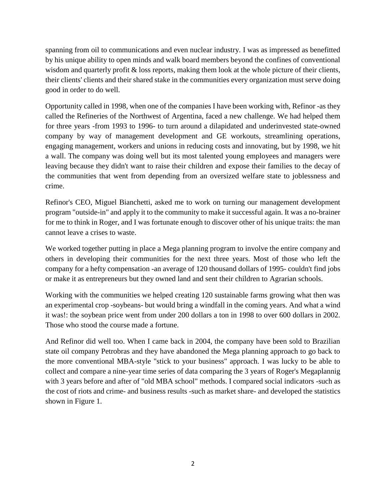spanning from oil to communications and even nuclear industry. I was as impressed as benefitted by his unique ability to open minds and walk board members beyond the confines of conventional wisdom and quarterly profit & loss reports, making them look at the whole picture of their clients, their clients' clients and their shared stake in the communities every organization must serve doing good in order to do well.

Opportunity called in 1998, when one of the companies I have been working with, Refinor -as they called the Refineries of the Northwest of Argentina, faced a new challenge. We had helped them for three years -from 1993 to 1996- to turn around a dilapidated and underinvested state-owned company by way of management development and GE workouts, streamlining operations, engaging management, workers and unions in reducing costs and innovating, but by 1998, we hit a wall. The company was doing well but its most talented young employees and managers were leaving because they didn't want to raise their children and expose their families to the decay of the communities that went from depending from an oversized welfare state to joblessness and crime.

Refinor's CEO, Miguel Bianchetti, asked me to work on turning our management development program "outside-in" and apply it to the community to make it successful again. It was a no-brainer for me to think in Roger, and I was fortunate enough to discover other of his unique traits: the man cannot leave a crises to waste.

We worked together putting in place a Mega planning program to involve the entire company and others in developing their communities for the next three years. Most of those who left the company for a hefty compensation -an average of 120 thousand dollars of 1995- couldn't find jobs or make it as entrepreneurs but they owned land and sent their children to Agrarian schools.

Working with the communities we helped creating 120 sustainable farms growing what then was an experimental crop -soybeans- but would bring a windfall in the coming years. And what a wind it was!: the soybean price went from under 200 dollars a ton in 1998 to over 600 dollars in 2002. Those who stood the course made a fortune.

And Refinor did well too. When I came back in 2004, the company have been sold to Brazilian state oil company Petrobras and they have abandoned the Mega planning approach to go back to the more conventional MBA-style "stick to your business" approach. I was lucky to be able to collect and compare a nine-year time series of data comparing the 3 years of Roger's Megaplannig with 3 years before and after of "old MBA school" methods. I compared social indicators -such as the cost of riots and crime- and business results -such as market share- and developed the statistics shown in Figure 1.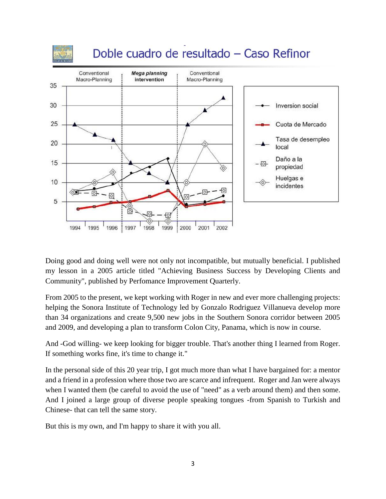

## Doble cuadro de resultado - Caso Refinor



Doing good and doing well were not only not incompatible, but mutually beneficial. I published my lesson in a 2005 article titled "Achieving Business Success by Developing Clients and Community", published by Perfomance Improvement Quarterly.

From 2005 to the present, we kept working with Roger in new and ever more challenging projects: helping the Sonora Institute of Technology led by Gonzalo Rodriguez Villanueva develop more than 34 organizations and create 9,500 new jobs in the Southern Sonora corridor between 2005 and 2009, and developing a plan to transform Colon City, Panama, which is now in course.

And -God willing- we keep looking for bigger trouble. That's another thing I learned from Roger. If something works fine, it's time to change it."

In the personal side of this 20 year trip, I got much more than what I have bargained for: a mentor and a friend in a profession where those two are scarce and infrequent. Roger and Jan were always when I wanted them (be careful to avoid the use of "need" as a verb around them) and then some. And I joined a large group of diverse people speaking tongues -from Spanish to Turkish and Chinese- that can tell the same story.

But this is my own, and I'm happy to share it with you all.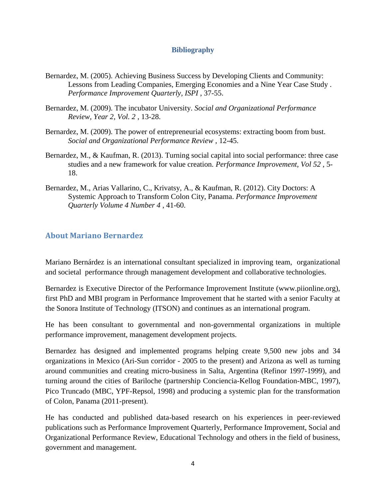### **Bibliography**

- Bernardez, M. (2005). Achieving Business Success by Developing Clients and Community: Lessons from Leading Companies, Emerging Economies and a Nine Year Case Study . *Performance Improvement Quarterly, ISPI* , 37-55.
- Bernardez, M. (2009). The incubator University. *Social and Organizational Performance Review, Year 2, Vol. 2* , 13-28.
- Bernardez, M. (2009). The power of entrepreneurial ecosystems: extracting boom from bust. *Social and Organizational Performance Review* , 12-45.
- Bernardez, M., & Kaufman, R. (2013). Turning social capital into social performance: three case studies and a new framework for value creation. *Performance Improvement, Vol 52* , 5- 18.
- Bernardez, M., Arias Vallarino, C., Krivatsy, A., & Kaufman, R. (2012). City Doctors: A Systemic Approach to Transform Colon City, Panama. *Performance Improvement Quarterly Volume 4 Number 4* , 41-60.

### **About Mariano Bernardez**

Mariano Bernárdez is an international consultant specialized in improving team, organizational and societal performance through management development and collaborative technologies.

Bernardez is Executive Director of the Performance Improvement Institute (www.piionline.org), first PhD and MBI program in Performance Improvement that he started with a senior Faculty at the Sonora Institute of Technology (ITSON) and continues as an international program.

He has been consultant to governmental and non-governmental organizations in multiple performance improvement, management development projects.

Bernardez has designed and implemented programs helping create 9,500 new jobs and 34 organizations in Mexico (Ari-Sun corridor - 2005 to the present) and Arizona as well as turning around communities and creating micro-business in Salta, Argentina (Refinor 1997-1999), and turning around the cities of Bariloche (partnership Conciencia-Kellog Foundation-MBC, 1997), Pico Truncado (MBC, YPF-Repsol, 1998) and producing a systemic plan for the transformation of Colon, Panama (2011-present).

He has conducted and published data-based research on his experiences in peer-reviewed publications such as Performance Improvement Quarterly, Performance Improvement, Social and Organizational Performance Review, Educational Technology and others in the field of business, government and management.